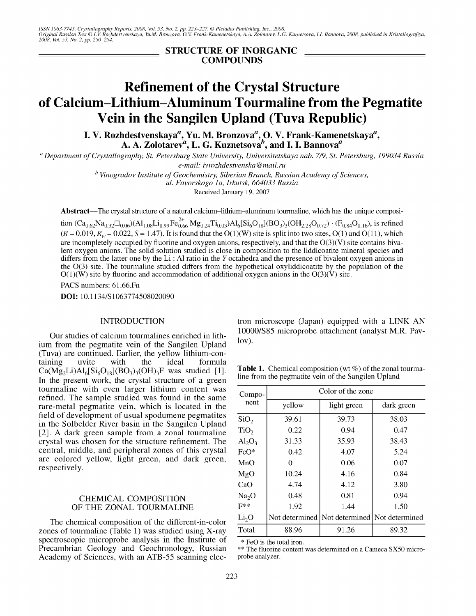ISSN 1063-7745, Crystallography Reports, 2008, Vol. 53, No. 2, pp. 223–227. © Pleiades Publishing, Inc., 2008.<br>Original Russian Text © I.V. Rozhdestvenskaya, Yu.M. Bronzova, O.V. Frank-Kamenetskaya, A.A. Zolotarev, L.G. Ku

STRUCTURE OF INORGANIC COMPOUNDS

# **Refinement of the Crystal Structure of Calcium-Lithium-Aluminum Tourmaline from the Pegmatite Vein in the Sangilen Upland (Tuva Republic)**

I. V. Rozhdestvenskaya<sup>a</sup>, Yu. M. Bronzova<sup>a</sup>, O. V. Frank-Kamenetskaya A. A. Zolotarev $^a$ , L. G. Kuznetsova $^b$ , and I. I. Bannova $^a$ 

*<sup>a</sup> Department of Crystallography, St. Petersburg State University, Universitetskaya nab.* 7/9, *St. Petersburg, 199034 Russia*  $e$ -mail: *ivrozhdestvenska@mail.ru* 

*<sup>h</sup> Vinogradov Institute of Geochemistry, Siberian Branch, Russian Academy of Sciences,*

*ul. Favorskogo la, Irkutsk, 664033 Russia*

Received January 19, 2007

Abstract-The crystal structure of a natural calcium-lithium-aluminum tourmaline, which has the unique composi-

tion  $(Ca_{0.62}Na_{0.32}\Box_{0.06})(Al_{1.08}Li_{0.99}Fe_{0.66}^{2+}Mg_{0.24}Ti_{0.03})Al_{6}[Si_{6}O_{18}](BO_{3})_{3}(OH_{2.28}O_{0.72}) \cdot (F_{0.84}O_{0.16})$ , is refined  $(R = 0.019, R<sub>w</sub> = 0.022, S = 1.47)$ . It is found that the O(1)(W) site is split into two sites, O(1) and O(11), which are incompletely occupied by fluorine and oxygen anions, respectively, and that the  $O(3)(V)$  site contains bivalent oxygen anions. The solid solution studied is close in composition to the liddicoatite mineral species and differs from the latter one by the Li : Al ratio in the Yoctahedra and the presence of bivalent oxygen anions in the 0(3) site. The tourmaline studied differs from the hypothetical oxyliddicoatite by the population of the  $O(1)$ (W) site by fluorine and accommodation of additional oxygen anions in the  $O(3)$ (V) site.

PACS numbers: 61.66.Fn

DOI: 10.1134/S1063774508020090

#### **INTRODUCTION**

Our studies of calcium tourmalines enriched in lithium from the pegmatite vein of the Sangilen Upland (Tuva) are continued. Earlier, the yellow lithium-containing uvite with the ideal formula  $Ca(Mg_2Li)Al_6[Si_6O_{18}](BO_3)_{3}$ (OH)<sub>3</sub>F was studied [1]. In the present work, the crystal structure of a green tourmaline with even larger lithium content was refined. The sample studied was found in the same rare-metal pegmatite vein, which is located in the field of development of usual spodumene pegmatites in the Solbelder River basin in the Sangilen Upland [2]. A dark green sample from a zonal tourmaline crystal was chosen for the structure refinement. The central, middle, and peripheral zones of this crystal are colored yellow, light green, and dark green, respectively.

## CHEMICAL COMPOSITION OF THE ZONAL TOURMALINE

The chemical composition of the different-in-color zones of tourmaline (Table 1) was studied using X-ray spectroscopic microprobe analysis in the Institute of Precambrian Geology and Geochronology, Russian Academy of Sciences, with an ATB-55 scanning electron microscope (Japan) equipped with a LINK AN lOOOO/S85 microprobe attachment (analyst M.R. Pavlov).

**Table 1.** Chemical composition (wt  $\%$ ) of the zonal tourmaline from the pegmatite vein of the Sangilen Upland

| Compo-<br>nent    | Color of the zone |                                                  |            |  |  |  |
|-------------------|-------------------|--------------------------------------------------|------------|--|--|--|
|                   | yellow            | light green                                      | dark green |  |  |  |
| SiO <sub>2</sub>  | 39.61             | 39.73                                            | 38.03      |  |  |  |
| TiO <sub>2</sub>  | 0.22              | 0.94                                             | 0.47       |  |  |  |
| $Al_2O_3$         | 31.33             | 35.93                                            | 38.43      |  |  |  |
| $FeO*$            | 0.42              | 4.07                                             | 5.24       |  |  |  |
| MnO               | 0                 | 0.06                                             | 0.07       |  |  |  |
| MgO               | 10.24             | 4.16                                             | 0.84       |  |  |  |
| CaO               | 4.74              | 4.12                                             | 3.80       |  |  |  |
| Na <sub>2</sub> O | 0.48              | 0.81                                             | 0.94       |  |  |  |
| $F^{**}$          | 1.92              | 1.44                                             | 1.50       |  |  |  |
| Li <sub>2</sub> O |                   | Not determined   Not determined   Not determined |            |  |  |  |
| Total             | 88.96             | 91.26                                            | 89.32      |  |  |  |

\* FeO is the total iron.

\*\* The fluorine content was determined on a Cameca SX50 microprobe analyzer.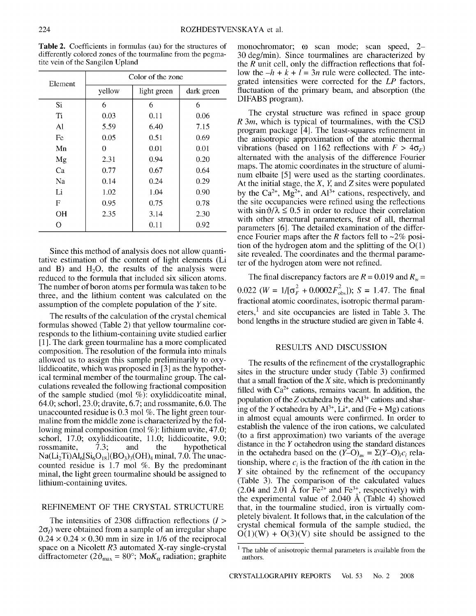Table 2. Coefficients in formulas (au) for the structures of differently colored zones of the tourmaline from the pegmatite vein of the Sangilen Upland

| Element | Color of the zone |             |            |  |  |  |
|---------|-------------------|-------------|------------|--|--|--|
|         | yellow            | light green | dark green |  |  |  |
| Si      | 6                 | 6           | 6          |  |  |  |
| Ti      | 0.03              | 0.11        | 0.06       |  |  |  |
| A1      | 5.59              | 6.40        | 7.15       |  |  |  |
| Fe      | 0.05              | 0.51        | 0.69       |  |  |  |
| Mn      | 0                 | 0.01        | 0.01       |  |  |  |
| Mg      | 2.31              | 0.94        | 0.20       |  |  |  |
| Ca      | 0.77              | 0.67        | 0.64       |  |  |  |
| Na      | 0.14              | 0.24        | 0.29       |  |  |  |
| Li      | 1.02              | 1.04        | 0.90       |  |  |  |
| F       | 0.95              | 0.75        | 0.78       |  |  |  |
| OН      | 2.35              | 3.14        | 2.30       |  |  |  |
| O       |                   | 0.11        | 0.92       |  |  |  |

Since this method of analysis does not allow quantitative estimation of the content of light elements (Li and B) and  $H_2O$ , the results of the analysis were reduced to the formula that included six silicon atoms. The number of boron atoms per formula was taken to be three, and the lithium content was calculated on the assumption of the complete population of the *Y* site.

The results of the calculation of the crystal chemical formulas showed (Table 2) that yellow tourmaline corresponds to the lithium-containing uvite studied earlier [1]. The dark green tourmaline has a more complicated composition. The resolution of the formula into minals allowed us to assign this sample preliminarily to oxyliddicoatite, which was proposed in [3] as the hypothetical terminal member of the tourmaline group. The calculations revealed the following fractional composition of the sample studied (mol %): oxyliddicoatite minal, 64.0; schorl, 23.0; dravite, 6.7; androssmanite, 6.0. The unaccounted residue is 0.3 mol %. The light green tourmaline from the middle zone is characterized by the following minal composition (mol %): lithium uvite, 47.0; schorl, 17.0; oxyliddicoatite, 11.0; liddicoatite, 9.0;<br>rossmanite, 7.3; and the hypothetical rossmanite, 7.3; and the hypothetical  $Na(Li_2 Ti)Al<sub>6</sub>[Si<sub>6</sub>O<sub>18</sub>](BO<sub>3</sub>)<sub>3</sub>(OH)<sub>4</sub> minal, 7.0. The unac$ counted residue is 1.7 mol %. By the predominant minal, the light green tourmaline should be assigned to lithium-containing uvites.

# REFINEMENT OF THE CRYSTAL STRUCTURE

The intensities of 2308 diffraction reflections *(I >*  $2\sigma$ <sub>*i*</sub>) were obtained from a sample of an irregular shape  $0.24 \times 0.24 \times 0.30$  mm in size in 1/6 of the reciprocal space on a Nicolett *R3* automated X-ray single-crystal diffractometer ( $2\vartheta_{\text{max}} = 80^\circ$ ; Mo $K_\alpha$  radiation; graphite

monochromator;  $\omega$  scan mode; scan speed, 2-30 deg/min). Since tourmalines are characterized by the *R* unit cell, only the diffraction reflections that follow the  $-h + k + l = 3n$  rule were collected. The integrated intensities were corrected for the *LP* factors, fluctuation of the primary beam, and absorption (the DIFABS program).

The crystal structure was refined in space group *R 3m,* which is typical of tourmalines, with the CSD program package [4]. The least -squares refinement in the anisotropic approximation of the atomic thermal vibrations (based on 1162 reflections with  $F > 4\sigma_F$ ) alternated with the analysis of the difference Fourier maps. The atomic coordinates in the structure of aluminum elbaite [5] were used as the starting coordinates. At the initial stage, the X, *Y,* and Z sites were populated by the Ca<sup>2+</sup>, Mg<sup>2+</sup>, and Al<sup>3+</sup> cations, respectively, and the site occupancies were refined using the reflections with  $\sin \theta/\lambda \leq 0.5$  in order to reduce their correlation with other structural parameters, first of all, thermal parameters [6]. The detailed examination of the difference Fourier maps after the *R* factors fell to  $\sim$ 2% position of the hydrogen atom and the splitting of the  $O(1)$ site revealed. The coordinates and the thermal parameter of the hydrogen atom were not refined.

The final discrepancy factors are  $R = 0.019$  and  $R_w =$  $0.022$  (*W* =  $1/[\sigma_F^2 + 0.0002F_{\text{obs}}^2]$ ); S = 1.47. The final fractional atomic coordinates, isotropic thermal parameters.<sup>1</sup> and site occupancies are listed in Table 3. The bond lengths in the structure studied are given in Table 4.

#### RESULTS AND DISCUSSION

The results of the refinement of the crystallographic sites in the structure under study (Table 3) confirmed that a small fraction of the  $X$  site, which is predominantly filled with  $Ca^{2+}$  cations, remains vacant. In addition, the population of the Z octahedra by the  $Al^{3+}$  cations and sharing of the *Y* octahedra by  $Al^{3+}$ ,  $Li^{+}$ , and (Fe + Mg) cations in almost equal amounts were confirmed. In order to establish the valence of the iron cations, we calculated (to a first approximation) two variants of the average distance in the *Y* octahedron using the standard distances in the octahedra based on the  $(Y-O)_{av} = \Sigma(Y-O)_{i}c_{i}$  relationship, where  $c_i$  is the fraction of the *i*th cation in the *Y* site obtained by the refinement of the occupancy (Table 3). The comparison of the calculated values  $(2.04$  and  $2.01 \text{ Å}$  for Fe<sup>2+</sup> and Fe<sup>3+</sup>, respectively) with the experimental value of  $2.040 \text{ Å}$  (Table 4) showed that, in the tourmaline studied, iron is virtually completely bivalent. It follows that, in the calculation of the crystal chemical formula of the sample studied, the  $O(1)(W) + O(3)(V)$  site should be assigned to the

 $<sup>1</sup>$  The table of anisotropic thermal parameters is available from the</sup> authors.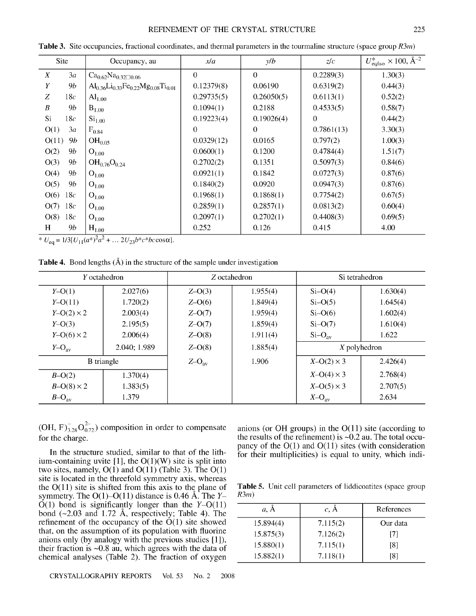#### REFINEMENT OF THE CRYSTAL STRUCTURE 225

| Site                   | Occupancy, au                                   | xla        | y/b        | z/c        | $U_{\text{eq/iso}}^* \times 100, \text{Å}^{-2}$ |
|------------------------|-------------------------------------------------|------------|------------|------------|-------------------------------------------------|
| X<br>3a                | $Ca_{0.62}Na_{0.32}\square 0.06$                | $\Omega$   | $\Omega$   | 0.2289(3)  | 1.30(3)                                         |
| Y<br>9b                | $Al_{0.36}Li_{0.33}Fe_{0.22}Mg_{0.08}Ti_{0.01}$ | 0.12379(8) | 0.06190    | 0.6319(2)  | 0.44(3)                                         |
| Z<br>18c               | $\text{Al}_{1.00}$                              | 0.29735(5) | 0.26050(5) | 0.6113(1)  | 0.52(2)                                         |
| $\boldsymbol{B}$<br>9b | $_{\rm I.00}$                                   | 0.1094(1)  | 0.2188     | 0.4533(5)  | 0.58(7)                                         |
| Si<br>18c              | $\mathrm{Si}_{1.00}$                            | 0.19223(4) | 0.19026(4) | $\theta$   | 0.44(2)                                         |
| O(1)<br>3a             | $F_{0.84}$                                      | $\Omega$   | $\theta$   | 0.7861(13) | 3.30(3)                                         |
| O(11)<br>9b            | $OH_{0.05}$                                     | 0.0329(12) | 0.0165     | 0.797(2)   | 1.00(3)                                         |
| 9b<br>O(2)             | $O_{1,00}$                                      | 0.0600(1)  | 0.1200     | 0.4784(4)  | 1.51(7)                                         |
| O(3)<br>9b             | $OH_{0.76}O_{0.24}$                             | 0.2702(2)  | 0.1351     | 0.5097(3)  | 0.84(6)                                         |
| O(4)<br>9 <i>b</i>     | $O_{1.00}$                                      | 0.0921(1)  | 0.1842     | 0.0727(3)  | 0.87(6)                                         |
| O(5)<br>9b             | $O_{1.00}$                                      | 0.1840(2)  | 0.0920     | 0.0947(3)  | 0.87(6)                                         |
| O(6)<br>18c            | $_{1.00}$                                       | 0.1968(1)  | 0.1868(1)  | 0.7754(2)  | 0.67(5)                                         |
| O(7)<br>18c            | $O_{1.00}$                                      | 0.2859(1)  | 0.2857(1)  | 0.0813(2)  | 0.60(4)                                         |
| O(8)<br>18c            | $O_{1.00}$                                      | 0.2097(1)  | 0.2702(1)  | 0.4408(3)  | 0.69(5)                                         |
| H<br>9b                | $H_{1.00}$                                      | 0.252      | 0.126      | 0.415      | 4.00                                            |

Table 3. Site occupancies, fractional coordinates, and thermal parameters in the tourmaline structure (space group *R3m)*

 $\sqrt[k]{U_{eq}} = 1/3[U_{11}(a^*)^2a^2 + ... 2U_{23}b^*c^*bc\cos\alpha].$ 

**Table 4.** Bond lengths  $(A)$  in the structure of the sample under investigation

| <i>Y</i> octahedron |              | Z octahedron   |                       | Si tetrahedron                |          |  |
|---------------------|--------------|----------------|-----------------------|-------------------------------|----------|--|
| $Y-O(1)$            | 2.027(6)     | $Z-O(3)$       | 1.955(4)<br>$Si-O(4)$ |                               | 1.630(4) |  |
| $Y-O(11)$           | 1.720(2)     | $Z-O(6)$       | 1.849(4)              | $Si-O(5)$                     | 1.645(4) |  |
| $Y-O(2) \times 2$   | 2.003(4)     | $Z-O(7)$       | 1.959(4)              | $Si-O(6)$                     | 1.602(4) |  |
| $Y-O(3)$            | 2.195(5)     | $Z-O(7)$       | 1.859(4)              | $Si-O(7)$                     | 1.610(4) |  |
| $Y-O(6) \times 2$   | 2.006(4)     | $Z-O(8)$       | 1.911(4)              | $Si-O_{av}$                   | 1.622    |  |
| $Y-O_{\text{av}}$   | 2.040; 1.989 | $Z - O(8)$     | 1.885(4)              | $X$ polyhedron                |          |  |
|                     | B triangle   | $Z-O_{\rm av}$ | 1.906                 | $X-O(2) \times 3$<br>2.426(4) |          |  |
| $B-O(2)$            | 1.370(4)     |                |                       | $X-O(4) \times 3$             | 2.768(4) |  |
| $B-O(8) \times 2$   | 1.383(5)     |                |                       | $X-O(5) \times 3$             | 2.707(5) |  |
| $B-O_{\text{av}}$   | 1.379        |                |                       | $X-O_{\text{av}}$             | 2.634    |  |

(OH,  $F_{3,28}^{-}O_{0,72}^{2-}$ ) composition in order to compensate for the charge.

In the structure studied, similar to that of the lithium-containing uvite  $[1]$ , the  $O(1)(W)$  site is split into two sites, namely,  $O(1)$  and  $O(11)$  (Table 3). The  $O(1)$ site is located in the threefold symmetry axis, whereas the  $O(11)$  site is shifted from this axis to the plane of symmetry. The  $O(1)$ - $O(11)$  distance is 0.46 Å. The *Y*- $\dot{O}(1)$  bond is significantly longer than the *Y*- $O(11)$ bond  $(-2.03 \text{ and } 1.72 \text{ Å})$ , respectively; Table 4). The refinement of the occupancy of the  $\dot{O}(1)$  site showed that, on the assumption of its population with fluorine anions only (by analogy with the previous studies [1]), their fraction is  $\sim 0.8$  au, which agrees with the data of chemical analyses (Table 2). The fraction of oxygen anions (or OH groups) in the  $O(11)$  site (according to the results of the refinement) is  $\sim 0.2$  au. The total occupancy of the  $O(1)$  and  $O(11)$  sites (with consideration for their multiplicities) is equal to unity, which indi-

Table 5. Unit cell parameters of liddicoatites (space group *R3m)*

| a, A      | c, A     | References |
|-----------|----------|------------|
| 15.894(4) | 7.115(2) | Our data   |
| 15.875(3) | 7.126(2) | 171        |
| 15.880(1) | 7.115(1) | [8]        |
| 15.882(1) | 7.118(1) | [8]        |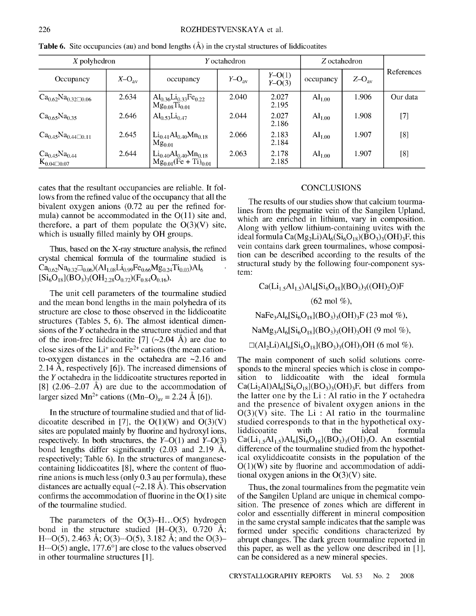| $X$ polyhedron                                       |                | Y octahedron                                                               |                   |                      | Z octahedron       |                   |            |
|------------------------------------------------------|----------------|----------------------------------------------------------------------------|-------------------|----------------------|--------------------|-------------------|------------|
| Occupancy                                            | $X-O_{\rm av}$ | occupancy                                                                  | $Y-O_{\text{av}}$ | $Y-O(1)$<br>$Y-O(3)$ | occupancy          | $Z-O_{\text{av}}$ | References |
| $\rm Ca_{0.62}Na_{0.32}\Box 0.06$                    | 2.634          | $\text{Al}_{0.36}\text{Li}_{0.33}\text{Fe}_{0.22}$<br>$Mg_{0.08}Ti_{0.01}$ | 2.040             | 2.027<br>2.195       | $Al_{1.00}$        | 1.906             | Our data   |
| $Ca_{0.65}Na_{0.35}$                                 | 2.646          | $Al_{0.53}Li_{0.47}$                                                       | 2.044             | 2.027<br>2.186       | $Al_{1.00}$        | 1.908             | $[7]$      |
| $Ca_{0.45}Na_{0.44}\square0.11$                      | 2.645          | $Li_{0.41}Al_{0.40}Mn_{0.18}$<br>$Mg_{0.01}$                               | 2.066             | 2.183<br>2.184       | $Al_{1.00}$        | 1.907             | [8]        |
| $Ca_{0.45}Na_{0.44}$<br>$\mathrm{K}_{0.04\Box 0.07}$ | 2.644          | $Li_{0.40}Al_{0.40}Mn_{0.18}$<br>$Mg_{0.01}$ (Fe + Ti) <sub>0.01</sub>     | 2.063             | 2.178<br>2.185       | $\text{Al}_{1.00}$ | 1.907             | [8]        |

**Table 6.** Site occupancies (au) and bond lengths  $(A)$  in the crystal structures of liddicoatites

cates that the resultant occupancies are reliable. It follows from the refined value of the occupancy that all the bivalent oxygen anions (0.72 au per the refined formula) cannot be accommodated in the  $O(11)$  site and, therefore, a part of them populate the  $O(3)(V)$  site, which is usually filled mainly by OH groups.

Thus, based on the X-ray structure analysis, the refined crystal chemical formula of the tourmaline studied is  $Ca_{0.62}Na_{0.32}\Box_{0.06}$  $(A1_{1.08}Li_{0.99}Fe_{0.66}Mg_{0.24}Ti_{0.03}$  $Al_6$  $[Si_6O_{18}](BO_3)_3(OH_{2.28}O_{0.72})(F_{0.84}O_{0.16}).$ 

The unit cell parameters of the tourmaline studied and the mean bond lengths in the main polyhedra of its structure are close to those observed in the liddicoatite structures (Tables 5, 6). The almost identical dimensions of the *Y* octahedra in the structure studied and that of the iron-free liddicoatite [7]  $(\sim 2.04 \text{ Å})$  are due to close sizes of the  $Li^+$  and  $Fe^{2+}$  cations (the mean cationto-oxygen distances in the octahedra are  $\sim$ 2.16 and 2.14 A, respectively [6]). The increased dimensions of the *Y* octahedra in the liddicoatite structures reported in  $[8]$  (2.06–2.07 Å) are due to the accommodation of larger sized Mn<sup>2+</sup> cations ((Mn–O)<sub>av</sub> = 2.24 Å [6]).

In the structure of tourmaline studied and that of liddicoatite described in [7], the  $O(1)(W)$  and  $O(3)(V)$ sites are populated mainly by fluorine and hydroxyl ions, respectively. In both structures, the *Y-O(1)* and *Y-0(3)* bond lengths differ significantly (2.03 and 2.19 A, respectively; Table 6). In the structures of manganesecontaining liddicoatites [8], where the content of fluorine anions is much less (only 0.3 au per formula), these distances are actually equal  $(\sim 2.18 \text{ Å})$ . This observation confirms the accommodation of fluorine in the 0(1) site of the tourmaline studied.

The parameters of the  $O(3)$ -H... $O(5)$  hydrogen bond in the structure studied  $[H-O(3), 0.720 \text{ Å};$ H $\cdots$ O(5), 2.463 Å; O(3) $\cdots$ O(5), 3.182 Å; and the O(3)–  $H \cdots O(5)$  angle, 177.6°] are close to the values observed in other tourmaline structures [1].

#### **CONCLUSIONS**

The results of our studies show that calcium tourmalines from the pegmatite vein of the Sangilen Upland, which are enriched in lithium, vary in composition. Along with yellow lithium-containing uvites with the ideal formula  $Ca(Mg_2Li)Al_6(Si_6O_{18})(BO_3)_3(OH)_3F$ , this vein contains dark green tourmalines, whose composition can be described according to the results of the structural study by the following four-component system:

 $Ca(Li_1, Al_1, Al_6[Si_6O_{18}](BO_3)_{3}((OH)_2O)F$ (62 mol %),  $NaFe<sub>3</sub>Al<sub>6</sub>[Si<sub>6</sub>O<sub>18</sub>](BO<sub>3</sub>)<sub>3</sub>(OH)<sub>3</sub>F (23 mol %),$  $NaMg_3Al_6[Si_6O_{18}](BO_3)_3(OH)_3OH$  (9 mol %),  $\Box$ (Al<sub>2</sub>Li)Al<sub>6</sub>[Si<sub>6</sub>O<sub>18</sub>](BO<sub>3</sub>)<sub>3</sub>(OH)<sub>3</sub>OH (6 mol %).

The main component of such solid solutions corresponds to the mineral species which is close in composition to liddicoatite with the ideal formula  $Ca(Li<sub>2</sub>Al)Al<sub>6</sub>[Si<sub>6</sub>O<sub>18</sub>](BO<sub>3</sub>)<sub>3</sub>(OH)<sub>3</sub>F, but differs from$ the latter one by the Li : Al ratio in the *Y* octahedra and the presence of bivalent oxygen anions in the  $O(3)(V)$  site. The Li : Al ratio in the tourmaline studied corresponds to that in the hypothetical oxyliddicoatite with the ideal formula  $Ca(Li<sub>1.5</sub>Al<sub>1.5</sub>)Al<sub>6</sub>[Si<sub>6</sub>O<sub>18</sub>](BO<sub>3</sub>)<sub>3</sub>(OH)<sub>3</sub>O$ . An essential difference of the tourmaline studied from the hypothetical oxyliddicoatite consists in the population of the  $O(1)(W)$  site by fluorine and accommodation of additional oxygen anions in the  $O(3)(V)$  site.

Thus, the zonal tourmalines from the pegmatite vein of the Sangilen Upland are unique in chemical composition. The presence of zones which are different in color and essentially different in mineral composition in the same crystal sample indicates that the sample was formed under specific conditions characterized by abrupt changes. The dark green tourmaline reported in this paper, as well as the yellow one described in [1], can be considered as a new mineral species.